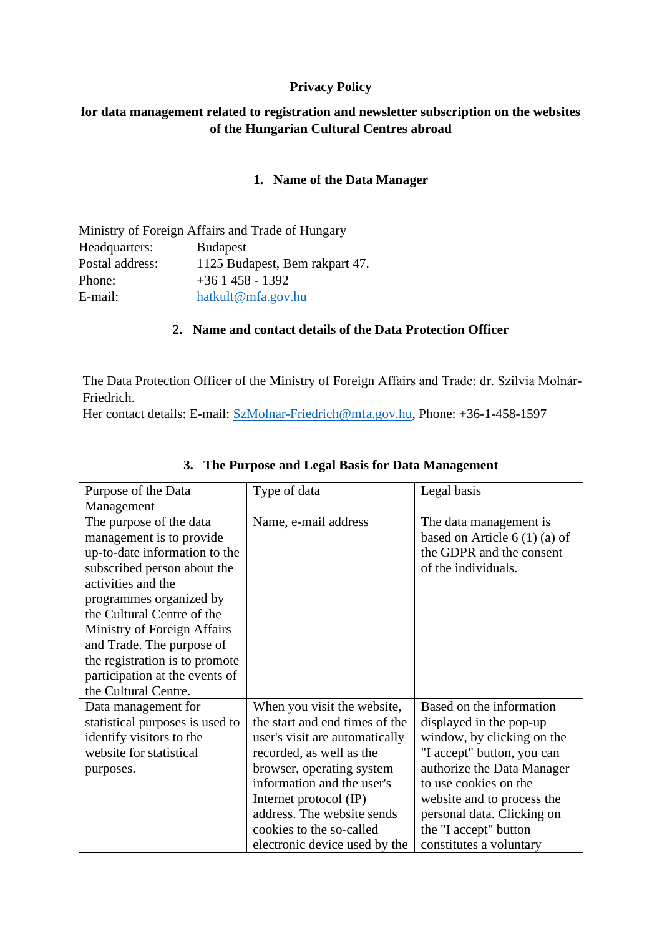# **Privacy Policy**

# **for data management related to registration and newsletter subscription on the websites of the Hungarian Cultural Centres abroad**

# **1. Name of the Data Manager**

|                 | Ministry of Foreign Affairs and Trade of Hungary |
|-----------------|--------------------------------------------------|
| Headquarters:   | <b>Budapest</b>                                  |
| Postal address: | 1125 Budapest, Bem rakpart 47.                   |
| Phone:          | $+361458 - 1392$                                 |
| E-mail:         | hatkult@mfa.gov.hu                               |

## **2. Name and contact details of the Data Protection Officer**

The Data Protection Officer of the Ministry of Foreign Affairs and Trade: dr. Szilvia Molnár-Friedrich.

Her contact details: E-mail: [SzMolnar-Friedrich@mfa.gov.hu,](mailto:SzMolnar-Friedrich@mfa.gov.hu) Phone: +36-1-458-1597

| Purpose of the Data             | Type of data                   | Legal basis                   |
|---------------------------------|--------------------------------|-------------------------------|
| Management                      |                                |                               |
| The purpose of the data         | Name, e-mail address           | The data management is        |
| management is to provide        |                                | based on Article $6(1)(a)$ of |
| up-to-date information to the   |                                | the GDPR and the consent      |
| subscribed person about the     |                                | of the individuals.           |
| activities and the              |                                |                               |
| programmes organized by         |                                |                               |
| the Cultural Centre of the      |                                |                               |
| Ministry of Foreign Affairs     |                                |                               |
| and Trade. The purpose of       |                                |                               |
| the registration is to promote  |                                |                               |
| participation at the events of  |                                |                               |
| the Cultural Centre.            |                                |                               |
| Data management for             | When you visit the website,    | Based on the information      |
| statistical purposes is used to | the start and end times of the | displayed in the pop-up       |
| identify visitors to the        | user's visit are automatically | window, by clicking on the    |
| website for statistical         | recorded, as well as the       | "I accept" button, you can    |
| purposes.                       | browser, operating system      | authorize the Data Manager    |
|                                 | information and the user's     | to use cookies on the         |
|                                 | Internet protocol (IP)         | website and to process the    |
|                                 | address. The website sends     | personal data. Clicking on    |
|                                 | cookies to the so-called       | the "I accept" button         |
|                                 | electronic device used by the  | constitutes a voluntary       |

## **3. The Purpose and Legal Basis for Data Management**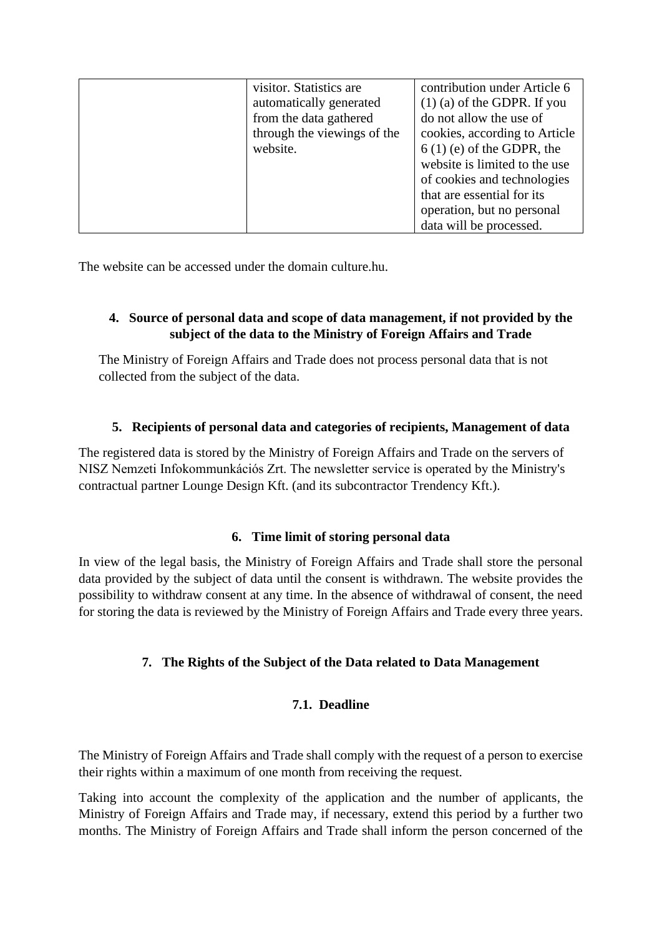| visitor. Statistics are     | contribution under Article 6  |  |
|-----------------------------|-------------------------------|--|
| automatically generated     | $(1)$ (a) of the GDPR. If you |  |
| from the data gathered      | do not allow the use of       |  |
| through the viewings of the | cookies, according to Article |  |
| website.                    | $6(1)$ (e) of the GDPR, the   |  |
|                             | website is limited to the use |  |
|                             | of cookies and technologies   |  |
|                             | that are essential for its    |  |
|                             | operation, but no personal    |  |
|                             | data will be processed.       |  |

The website can be accessed under the domain culture hu

# **4. Source of personal data and scope of data management, if not provided by the subject of the data to the Ministry of Foreign Affairs and Trade**

The Ministry of Foreign Affairs and Trade does not process personal data that is not collected from the subject of the data.

# **5. Recipients of personal data and categories of recipients, Management of data**

The registered data is stored by the Ministry of Foreign Affairs and Trade on the servers of NISZ Nemzeti Infokommunkációs Zrt. The newsletter service is operated by the Ministry's contractual partner Lounge Design Kft. (and its subcontractor Trendency Kft.).

# **6. Time limit of storing personal data**

In view of the legal basis, the Ministry of Foreign Affairs and Trade shall store the personal data provided by the subject of data until the consent is withdrawn. The website provides the possibility to withdraw consent at any time. In the absence of withdrawal of consent, the need for storing the data is reviewed by the Ministry of Foreign Affairs and Trade every three years.

# **7. The Rights of the Subject of the Data related to Data Management**

## **7.1. Deadline**

The Ministry of Foreign Affairs and Trade shall comply with the request of a person to exercise their rights within a maximum of one month from receiving the request.

Taking into account the complexity of the application and the number of applicants, the Ministry of Foreign Affairs and Trade may, if necessary, extend this period by a further two months. The Ministry of Foreign Affairs and Trade shall inform the person concerned of the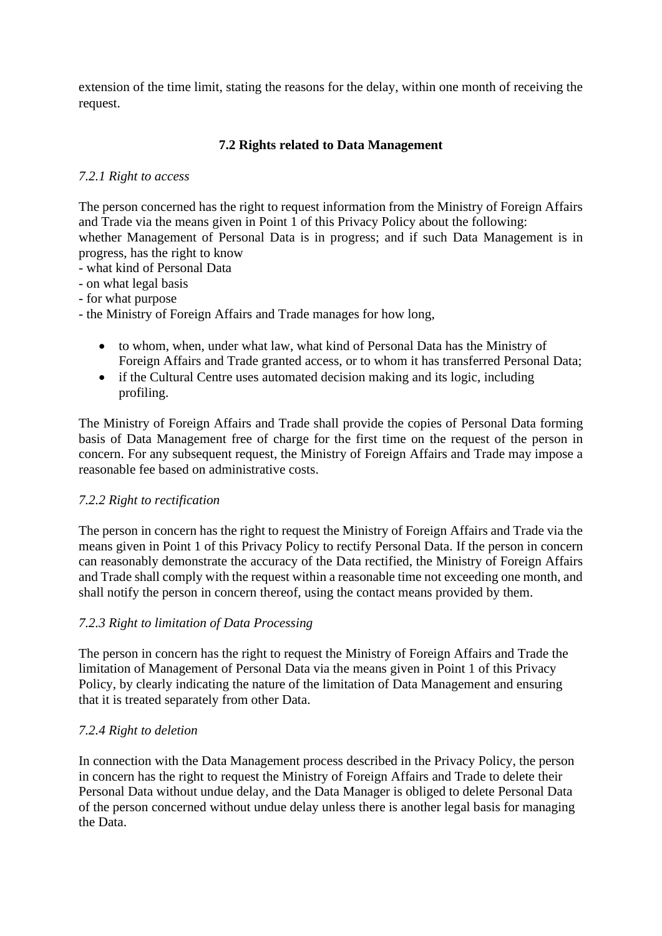extension of the time limit, stating the reasons for the delay, within one month of receiving the request.

# **7.2 Rights related to Data Management**

## *7.2.1 Right to access*

The person concerned has the right to request information from the Ministry of Foreign Affairs and Trade via the means given in Point 1 of this Privacy Policy about the following: whether Management of Personal Data is in progress; and if such Data Management is in progress, has the right to know

- what kind of Personal Data
- on what legal basis
- for what purpose
- the Ministry of Foreign Affairs and Trade manages for how long,
	- to whom, when, under what law, what kind of Personal Data has the Ministry of Foreign Affairs and Trade granted access, or to whom it has transferred Personal Data;
	- if the Cultural Centre uses automated decision making and its logic, including profiling.

The Ministry of Foreign Affairs and Trade shall provide the copies of Personal Data forming basis of Data Management free of charge for the first time on the request of the person in concern. For any subsequent request, the Ministry of Foreign Affairs and Trade may impose a reasonable fee based on administrative costs.

## *7.2.2 Right to rectification*

The person in concern has the right to request the Ministry of Foreign Affairs and Trade via the means given in Point 1 of this Privacy Policy to rectify Personal Data. If the person in concern can reasonably demonstrate the accuracy of the Data rectified, the Ministry of Foreign Affairs and Trade shall comply with the request within a reasonable time not exceeding one month, and shall notify the person in concern thereof, using the contact means provided by them.

## *7.2.3 Right to limitation of Data Processing*

The person in concern has the right to request the Ministry of Foreign Affairs and Trade the limitation of Management of Personal Data via the means given in Point 1 of this Privacy Policy, by clearly indicating the nature of the limitation of Data Management and ensuring that it is treated separately from other Data.

## *7.2.4 Right to deletion*

In connection with the Data Management process described in the Privacy Policy, the person in concern has the right to request the Ministry of Foreign Affairs and Trade to delete their Personal Data without undue delay, and the Data Manager is obliged to delete Personal Data of the person concerned without undue delay unless there is another legal basis for managing the Data.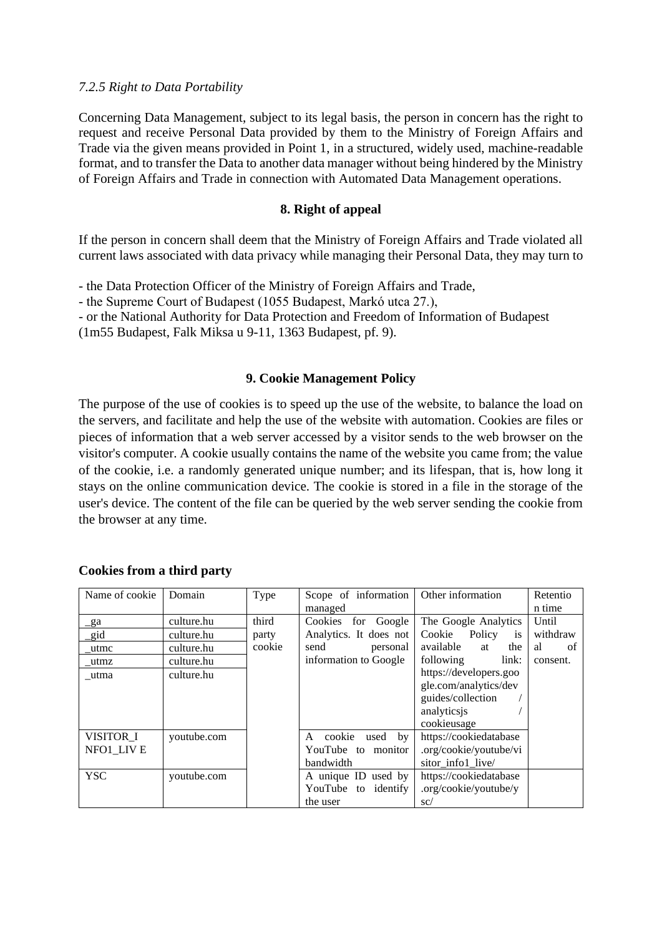#### *7.2.5 Right to Data Portability*

Concerning Data Management, subject to its legal basis, the person in concern has the right to request and receive Personal Data provided by them to the Ministry of Foreign Affairs and Trade via the given means provided in Point 1, in a structured, widely used, machine-readable format, and to transfer the Data to another data manager without being hindered by the Ministry of Foreign Affairs and Trade in connection with Automated Data Management operations.

#### **8. Right of appeal**

If the person in concern shall deem that the Ministry of Foreign Affairs and Trade violated all current laws associated with data privacy while managing their Personal Data, they may turn to

- the Data Protection Officer of the Ministry of Foreign Affairs and Trade,

- the Supreme Court of Budapest (1055 Budapest, Markó utca 27.),

- or the National Authority for Data Protection and Freedom of Information of Budapest

(1m55 Budapest, Falk Miksa u 9-11, 1363 Budapest, pf. 9).

#### **9. Cookie Management Policy**

The purpose of the use of cookies is to speed up the use of the website, to balance the load on the servers, and facilitate and help the use of the website with automation. Cookies are files or pieces of information that a web server accessed by a visitor sends to the web browser on the visitor's computer. A cookie usually contains the name of the website you came from; the value of the cookie, i.e. a randomly generated unique number; and its lifespan, that is, how long it stays on the online communication device. The cookie is stored in a file in the storage of the user's device. The content of the file can be queried by the web server sending the cookie from the browser at any time.

| Name of cookie | Domain      | Type   | Scope of information      | Other information      | Retentio |
|----------------|-------------|--------|---------------------------|------------------------|----------|
|                |             |        | managed                   |                        | n time   |
| $_{\rm g}$ a   | culture.hu  | third  | Cookies<br>for Google     | The Google Analytics   | Until    |
| gid            | culture.hu  | party  | Analytics. It does not    | Cookie<br>Policy<br>is | withdraw |
| utmc           | culture.hu  | cookie | send<br>personal          | available<br>the<br>at | al<br>of |
| utmz           | culture.hu  |        | information to Google     | following<br>link:     | consent. |
| utma           | culture.hu  |        |                           | https://developers.goo |          |
|                |             |        |                           | gle.com/analytics/dev  |          |
|                |             |        |                           | guides/collection      |          |
|                |             |        |                           | analyticsjs            |          |
|                |             |        |                           | cookieusage            |          |
| VISITOR I      | youtube.com |        | cookie<br>used<br>by<br>A | https://cookiedatabase |          |
| NFO1 LIVE      |             |        | monitor<br>YouTube to     | .org/cookie/youtube/vi |          |
|                |             |        | bandwidth                 | sitor_info1_live/      |          |
| <b>YSC</b>     | youtube.com |        | A unique ID used by       | https://cookiedatabase |          |
|                |             |        | YouTube<br>identify<br>to | .org/cookie/youtube/y  |          |
|                |             |        | the user                  | SC/                    |          |

## **Cookies from a third party**